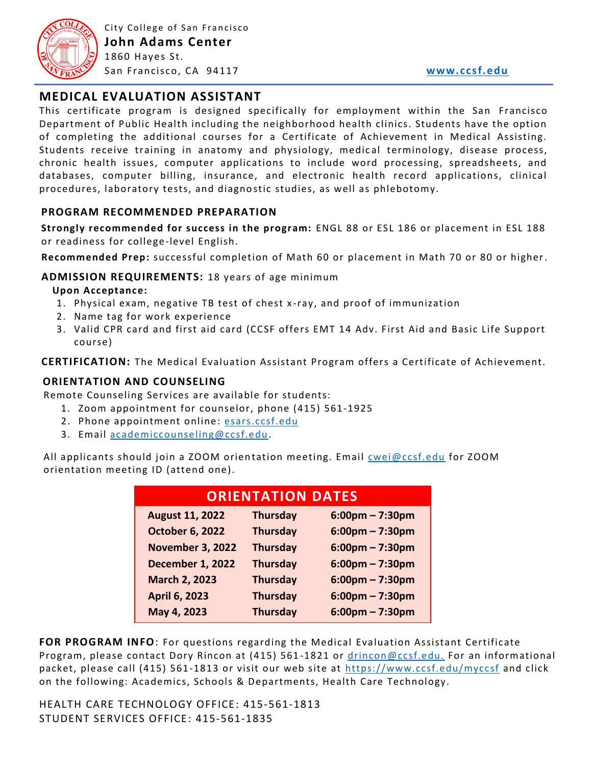

## **MEDICAL EVALUATION ASSISTANT**

This certificate program is designed specifically for employment within the San Francisco Department of Public Health including the neighborhood health clinics. Students have the option of completing the additional courses for a Certificate of Achievement in Medical Assisting. Students receive training in anatomy and physiology, medical terminology, disease process, chronic health issues, computer applications to include word processing, spreadsheets, and databases, computer billing, insurance, and electronic health record applications, clinical procedures, laboratory tests, and diagno stic studies, as well as phlebotomy.

#### **PROGRAM RECOMMENDED PREPARATION**

**Strongly recommended for success in the program:** ENGL 88 or ESL 186 or placement in ESL 188 or readiness for college-level English.

**Recommended Prep:** successful completion of Math 60 or placement in Math 70 or 80 or higher.

#### **ADMISSION REQUIREMENTS:** 18 years of age minimum

#### **Upon Acceptance:**

- 1. Physical exam, negative TB test of chest x -ray, and proof of immunization
- 2. Name tag for work experience
- 3. Valid CPR card and first aid card (CCSF offers EMT 14 Adv. First Aid and Basic Life Support course)

**CERTIFICATION:** The Medical Evaluation Assistant Program offers a Certificate of Achievement.

#### **ORIENTATION AND COUNSELING**

Remote Counseling Services are available for students:

- 1. Zoom appointment for counselor, phone (415) 561-1925
- 2. Phone appointment online: [esars.ccsf.edu](https://esars.ccsf.edu/)
- 3. Email [academiccounseling@ccsf.edu.](mailto:academiccounseling@ccsf.edu)

All applicants should join a ZOOM orientation meeting. Email [cwei@ccsf.edu](mailto:cwei@ccsf.edu) for ZOOM orientation meeting ID (attend one).

| <b>ORIENTATION DATES</b> |                 |                    |
|--------------------------|-----------------|--------------------|
| <b>August 11, 2022</b>   | <b>Thursday</b> | $6:00$ pm – 7:30pm |
| <b>October 6, 2022</b>   | <b>Thursday</b> | $6:00$ pm – 7:30pm |
| <b>November 3, 2022</b>  | <b>Thursday</b> | $6:00$ pm – 7:30pm |
| <b>December 1, 2022</b>  | <b>Thursday</b> | $6:00$ pm – 7:30pm |
| <b>March 2, 2023</b>     | <b>Thursday</b> | $6:00$ pm – 7:30pm |
| <b>April 6, 2023</b>     | <b>Thursday</b> | $6:00$ pm – 7:30pm |
| May 4, 2023              | <b>Thursday</b> | $6:00$ pm – 7:30pm |

**FOR PROGRAM INFO**: For questions regarding the Medical Evaluation Assistant Certificate Program, please contact Dory Rincon at (415) 561 -1821 or [drincon@ccsf.edu.](mailto:drincon@ccsf.edu) For an informational packet, please call (415) 561-1813 or visit our web site at<https://www.ccsf.edu/myccsf> and click on the following: Academics, Schools & Departments, Health Care Technology.

HEALTH CARE TECHNOLOGY OFFICE: 415-561-1813 STUDENT SERVICES OFFICE: 415-561-1835